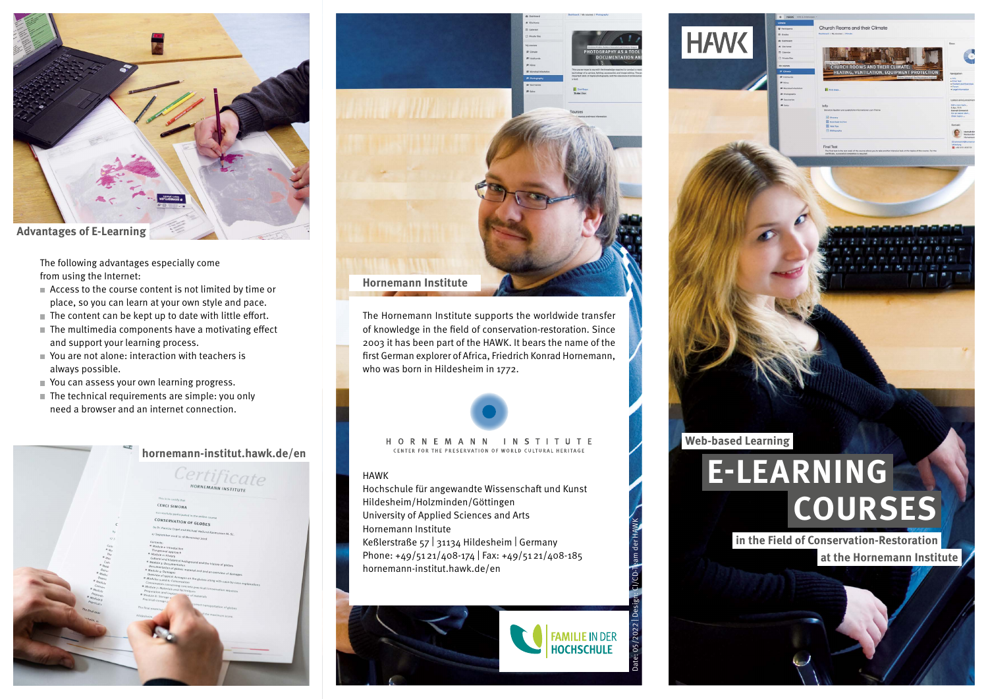The following advantages especially come from using the Internet:

- Access to the course content is not limited by time or place, so you can learn at your own style and pace.
- $\blacksquare$  The content can be kept up to date with little effort.
- $\blacksquare$  The multimedia components have a motivating effect and support your learning process.
- You are not alone: interaction with teachers is always possible.
- You can assess your own learning progress.
- $\blacksquare$  The technical requirements are simple: you only need a browser and an internet connection.

CENCI SIMON

ON OF GLOBES

**hornemann-institut.hawk.de/en**

Certificate



The Hornemann Institute supports the worldwide transfer of knowledge in the field of conservation-restoration. Since 2003 it has been part of the HAWK. It bears the name of the first German explorer of Africa, Friedrich Konrad Hornemann, who was born in Hildesheim in 1772.



# HAWK

Hochschule für angewandte Wissenschaft und Kunst Hildesheim/Holzminden/Göttingen University of Applied Sciences and Arts Hornemann Institute Keßlerstraße 57 | 31134 Hildesheim | Germany Phone: +49/5121/408-174 | Fax: +49/5121/408-185 hornemann-institut.hawk.de/en





Date: 05/2022 | Design: CI/CD-Team der HAWK

Church Boome and thoir Climat

**Web-based Learning**

**HAW** 

# **COURSES E-LEARNING**

**in the Field of Conservation-Restoration at the Hornemann Institute**